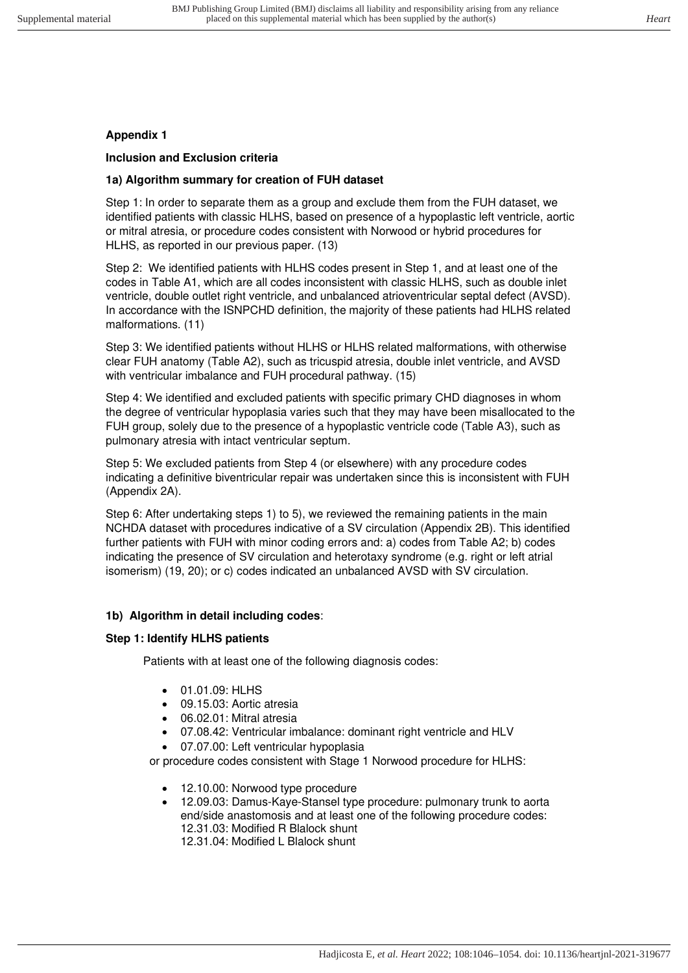# **Appendix 1**

## **Inclusion and Exclusion criteria**

# **1a) Algorithm summary for creation of FUH dataset**

Step 1: In order to separate them as a group and exclude them from the FUH dataset, we identified patients with classic HLHS, based on presence of a hypoplastic left ventricle, aortic or mitral atresia, or procedure codes consistent with Norwood or hybrid procedures for HLHS, as reported in our previous paper. (13)

Step 2: We identified patients with HLHS codes present in Step 1, and at least one of the codes in Table A1, which are all codes inconsistent with classic HLHS, such as double inlet ventricle, double outlet right ventricle, and unbalanced atrioventricular septal defect (AVSD). In accordance with the ISNPCHD definition, the majority of these patients had HLHS related malformations. (11)

Step 3: We identified patients without HLHS or HLHS related malformations, with otherwise clear FUH anatomy (Table A2), such as tricuspid atresia, double inlet ventricle, and AVSD with ventricular imbalance and FUH procedural pathway. (15)

Step 4: We identified and excluded patients with specific primary CHD diagnoses in whom the degree of ventricular hypoplasia varies such that they may have been misallocated to the FUH group, solely due to the presence of a hypoplastic ventricle code (Table A3), such as pulmonary atresia with intact ventricular septum.

Step 5: We excluded patients from Step 4 (or elsewhere) with any procedure codes indicating a definitive biventricular repair was undertaken since this is inconsistent with FUH (Appendix 2A).

Step 6: After undertaking steps 1) to 5), we reviewed the remaining patients in the main NCHDA dataset with procedures indicative of a SV circulation (Appendix 2B). This identified further patients with FUH with minor coding errors and: a) codes from Table A2; b) codes indicating the presence of SV circulation and heterotaxy syndrome (e.g. right or left atrial isomerism) (19, 20); or c) codes indicated an unbalanced AVSD with SV circulation.

# **1b) Algorithm in detail including codes**:

# **Step 1: Identify HLHS patients**

Patients with at least one of the following diagnosis codes:

- 01.01.09: HLHS
- 09.15.03: Aortic atresia
- 06.02.01: Mitral atresia
- 07.08.42: Ventricular imbalance: dominant right ventricle and HLV
- 07.07.00: Left ventricular hypoplasia

or procedure codes consistent with Stage 1 Norwood procedure for HLHS:

- 12.10.00: Norwood type procedure
- 12.09.03: Damus-Kaye-Stansel type procedure: pulmonary trunk to aorta end/side anastomosis and at least one of the following procedure codes: 12.31.03: Modified R Blalock shunt 12.31.04: Modified L Blalock shunt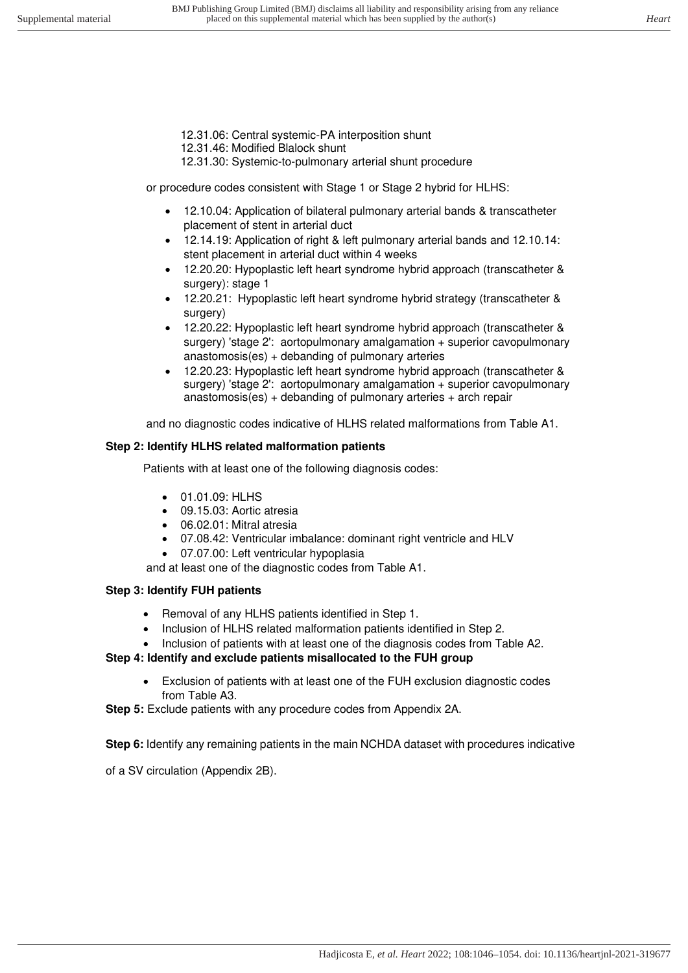- 12.31.06: Central systemic-PA interposition shunt
- 12.31.46: Modified Blalock shunt
- 12.31.30: Systemic-to-pulmonary arterial shunt procedure

or procedure codes consistent with Stage 1 or Stage 2 hybrid for HLHS:

- 12.10.04: Application of bilateral pulmonary arterial bands & transcatheter placement of stent in arterial duct
- 12.14.19: Application of right & left pulmonary arterial bands and 12.10.14: stent placement in arterial duct within 4 weeks
- 12.20.20: Hypoplastic left heart syndrome hybrid approach (transcatheter & surgery): stage 1
- 12.20.21: Hypoplastic left heart syndrome hybrid strategy (transcatheter & surgery)
- 12.20.22: Hypoplastic left heart syndrome hybrid approach (transcatheter & surgery) 'stage 2': aortopulmonary amalgamation + superior cavopulmonary anastomosis(es) + debanding of pulmonary arteries
- 12.20.23: Hypoplastic left heart syndrome hybrid approach (transcatheter & surgery) 'stage 2': aortopulmonary amalgamation + superior cavopulmonary anastomosis(es) + debanding of pulmonary arteries + arch repair

and no diagnostic codes indicative of HLHS related malformations from Table A1.

### **Step 2: Identify HLHS related malformation patients**

Patients with at least one of the following diagnosis codes:

- 01.01.09: HLHS
- 09.15.03: Aortic atresia
- 06.02.01: Mitral atresia
- 07.08.42: Ventricular imbalance: dominant right ventricle and HLV
- 07.07.00: Left ventricular hypoplasia

and at least one of the diagnostic codes from Table A1.

# **Step 3: Identify FUH patients**

- Removal of any HLHS patients identified in Step 1.
- Inclusion of HLHS related malformation patients identified in Step 2.
- Inclusion of patients with at least one of the diagnosis codes from Table A2.

# **Step 4: Identify and exclude patients misallocated to the FUH group**

• Exclusion of patients with at least one of the FUH exclusion diagnostic codes from Table A3.

**Step 5:** Exclude patients with any procedure codes from Appendix 2A.

**Step 6:** Identify any remaining patients in the main NCHDA dataset with procedures indicative

of a SV circulation (Appendix 2B).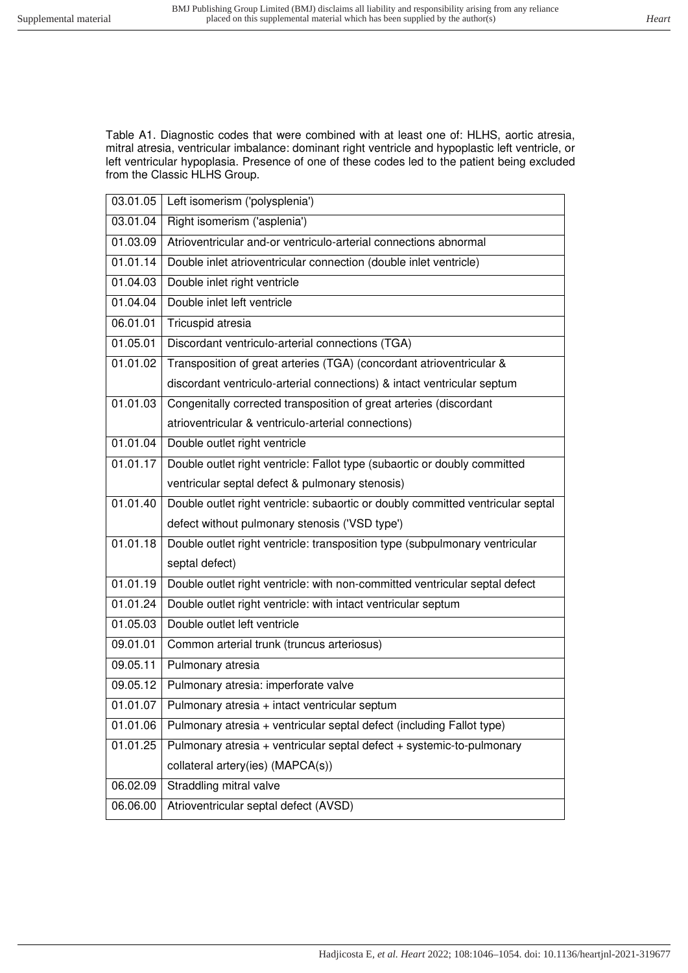Table A1. Diagnostic codes that were combined with at least one of: HLHS, aortic atresia, mitral atresia, ventricular imbalance: dominant right ventricle and hypoplastic left ventricle, or left ventricular hypoplasia. Presence of one of these codes led to the patient being excluded from the Classic HLHS Group.

| 03.01.05 | Left isomerism ('polysplenia')                                                  |
|----------|---------------------------------------------------------------------------------|
| 03.01.04 | Right isomerism ('asplenia')                                                    |
| 01.03.09 | Atrioventricular and-or ventriculo-arterial connections abnormal                |
| 01.01.14 | Double inlet atrioventricular connection (double inlet ventricle)               |
| 01.04.03 | Double inlet right ventricle                                                    |
| 01.04.04 | Double inlet left ventricle                                                     |
| 06.01.01 | <b>Tricuspid atresia</b>                                                        |
| 01.05.01 | Discordant ventriculo-arterial connections (TGA)                                |
| 01.01.02 | Transposition of great arteries (TGA) (concordant atrioventricular &            |
|          | discordant ventriculo-arterial connections) & intact ventricular septum         |
| 01.01.03 | Congenitally corrected transposition of great arteries (discordant              |
|          | atrioventricular & ventriculo-arterial connections)                             |
| 01.01.04 | Double outlet right ventricle                                                   |
| 01.01.17 | Double outlet right ventricle: Fallot type (subaortic or doubly committed       |
|          | ventricular septal defect & pulmonary stenosis)                                 |
| 01.01.40 | Double outlet right ventricle: subaortic or doubly committed ventricular septal |
|          | defect without pulmonary stenosis ('VSD type')                                  |
| 01.01.18 | Double outlet right ventricle: transposition type (subpulmonary ventricular     |
|          | septal defect)                                                                  |
| 01.01.19 | Double outlet right ventricle: with non-committed ventricular septal defect     |
| 01.01.24 | Double outlet right ventricle: with intact ventricular septum                   |
| 01.05.03 | Double outlet left ventricle                                                    |
| 09.01.01 | Common arterial trunk (truncus arteriosus)                                      |
| 09.05.11 | Pulmonary atresia                                                               |
| 09.05.12 | Pulmonary atresia: imperforate valve                                            |
| 01.01.07 | Pulmonary atresia + intact ventricular septum                                   |
| 01.01.06 | Pulmonary atresia + ventricular septal defect (including Fallot type)           |
| 01.01.25 | Pulmonary atresia + ventricular septal defect + systemic-to-pulmonary           |
|          | collateral artery(ies) (MAPCA(s))                                               |
| 06.02.09 | Straddling mitral valve                                                         |
| 06.06.00 | Atrioventricular septal defect (AVSD)                                           |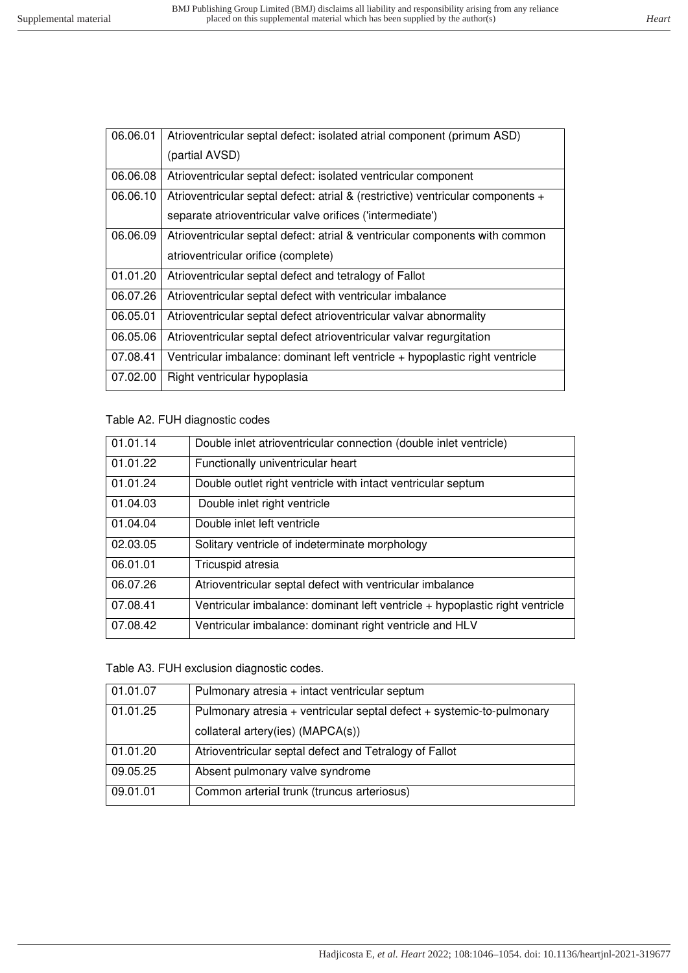| 06.06.01 | Atrioventricular septal defect: isolated atrial component (primum ASD)          |
|----------|---------------------------------------------------------------------------------|
|          | (partial AVSD)                                                                  |
| 06.06.08 | Atrioventricular septal defect: isolated ventricular component                  |
| 06.06.10 | Atrioventricular septal defect: atrial & (restrictive) ventricular components + |
|          | separate atrioventricular valve orifices ('intermediate')                       |
| 06.06.09 | Atrioventricular septal defect: atrial & ventricular components with common     |
|          | atrioventricular orifice (complete)                                             |
| 01.01.20 | Atrioventricular septal defect and tetralogy of Fallot                          |
| 06.07.26 | Atrioventricular septal defect with ventricular imbalance                       |
| 06.05.01 | Atrioventricular septal defect atrioventricular valvar abnormality              |
| 06.05.06 | Atrioventricular septal defect atrioventricular valvar regurgitation            |
| 07.08.41 | Ventricular imbalance: dominant left ventricle + hypoplastic right ventricle    |
| 07.02.00 | Right ventricular hypoplasia                                                    |

### Table A2. FUH diagnostic codes

| 01.01.14 | Double inlet atrioventricular connection (double inlet ventricle)            |
|----------|------------------------------------------------------------------------------|
| 01.01.22 | Functionally univentricular heart                                            |
| 01.01.24 | Double outlet right ventricle with intact ventricular septum                 |
| 01.04.03 | Double inlet right ventricle                                                 |
| 01.04.04 | Double inlet left ventricle                                                  |
| 02.03.05 | Solitary ventricle of indeterminate morphology                               |
| 06.01.01 | Tricuspid atresia                                                            |
| 06.07.26 | Atrioventricular septal defect with ventricular imbalance                    |
| 07.08.41 | Ventricular imbalance: dominant left ventricle + hypoplastic right ventricle |
| 07.08.42 | Ventricular imbalance: dominant right ventricle and HLV                      |

#### Table A3. FUH exclusion diagnostic codes.

| 01.01.07 | Pulmonary atresia + intact ventricular septum                         |
|----------|-----------------------------------------------------------------------|
| 01.01.25 | Pulmonary atresia + ventricular septal defect + systemic-to-pulmonary |
|          | collateral artery(ies) (MAPCA(s))                                     |
| 01.01.20 | Atrioventricular septal defect and Tetralogy of Fallot                |
| 09.05.25 | Absent pulmonary valve syndrome                                       |
| 09.01.01 | Common arterial trunk (truncus arteriosus)                            |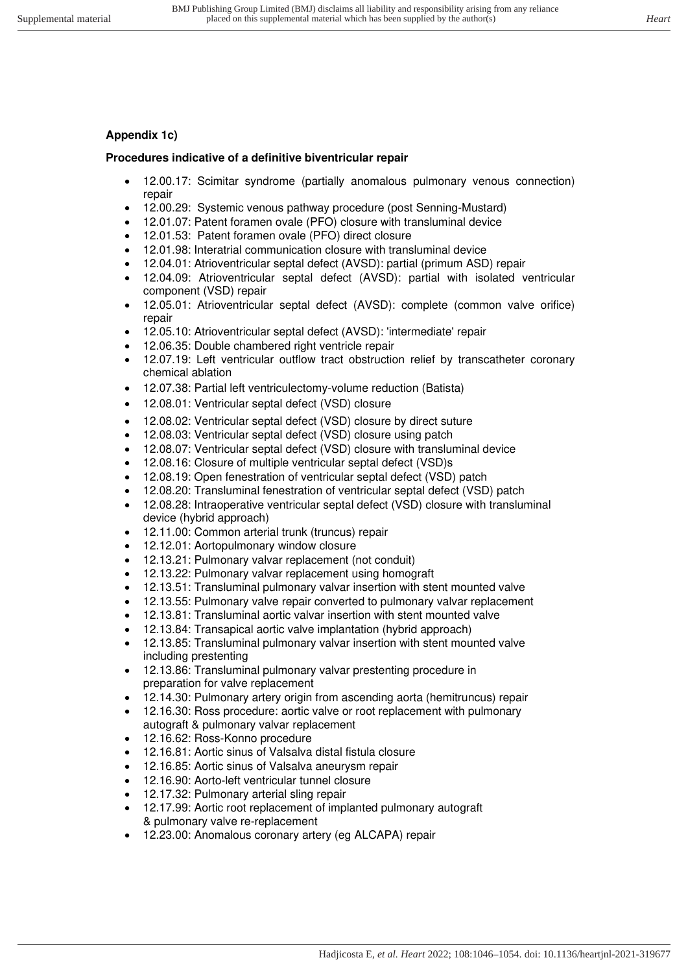# **Appendix 1c)**

## **Procedures indicative of a definitive biventricular repair**

- 12.00.17: Scimitar syndrome (partially anomalous pulmonary venous connection) repair
- 12.00.29: Systemic venous pathway procedure (post Senning-Mustard)
- 12.01.07: Patent foramen ovale (PFO) closure with transluminal device
- 12.01.53: Patent foramen ovale (PFO) direct closure
- 12.01.98: Interatrial communication closure with transluminal device
- 12.04.01: Atrioventricular septal defect (AVSD): partial (primum ASD) repair
- 12.04.09: Atrioventricular septal defect (AVSD): partial with isolated ventricular component (VSD) repair
- 12.05.01: Atrioventricular septal defect (AVSD): complete (common valve orifice) repair
- 12.05.10: Atrioventricular septal defect (AVSD): 'intermediate' repair
- 12.06.35: Double chambered right ventricle repair
- 12.07.19: Left ventricular outflow tract obstruction relief by transcatheter coronary chemical ablation
- 12.07.38: Partial left ventriculectomy-volume reduction (Batista)
- 12.08.01: Ventricular septal defect (VSD) closure
- 12.08.02: Ventricular septal defect (VSD) closure by direct suture
- 12.08.03: Ventricular septal defect (VSD) closure using patch
- 12.08.07: Ventricular septal defect (VSD) closure with transluminal device
- 12.08.16: Closure of multiple ventricular septal defect (VSD)s
- 12.08.19: Open fenestration of ventricular septal defect (VSD) patch
- 12.08.20: Transluminal fenestration of ventricular septal defect (VSD) patch
- 12.08.28: Intraoperative ventricular septal defect (VSD) closure with transluminal device (hybrid approach)
- 12.11.00: Common arterial trunk (truncus) repair
- 12.12.01: Aortopulmonary window closure
- 12.13.21: Pulmonary valvar replacement (not conduit)
- 12.13.22: Pulmonary valvar replacement using homograft
- 12.13.51: Transluminal pulmonary valvar insertion with stent mounted valve
- 12.13.55: Pulmonary valve repair converted to pulmonary valvar replacement
- 12.13.81: Transluminal aortic valvar insertion with stent mounted valve
- 12.13.84: Transapical aortic valve implantation (hybrid approach)
- 12.13.85: Transluminal pulmonary valvar insertion with stent mounted valve including prestenting
- 12.13.86: Transluminal pulmonary valvar prestenting procedure in preparation for valve replacement
- 12.14.30: Pulmonary artery origin from ascending aorta (hemitruncus) repair
- 12.16.30: Ross procedure: aortic valve or root replacement with pulmonary autograft & pulmonary valvar replacement
- 12.16.62: Ross-Konno procedure
- 12.16.81: Aortic sinus of Valsalva distal fistula closure
- 12.16.85: Aortic sinus of Valsalva aneurysm repair
- 12.16.90: Aorto-left ventricular tunnel closure
- 12.17.32: Pulmonary arterial sling repair
- 12.17.99: Aortic root replacement of implanted pulmonary autograft & pulmonary valve re-replacement
- 12.23.00: Anomalous coronary artery (eg ALCAPA) repair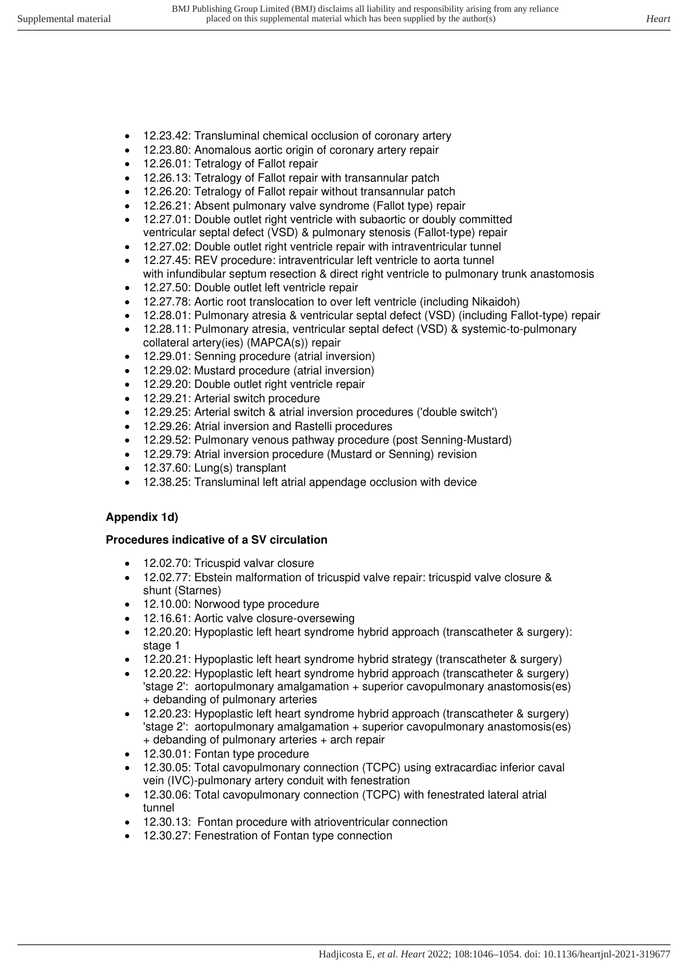- 12.23.42: Transluminal chemical occlusion of coronary artery
- 12.23.80: Anomalous aortic origin of coronary artery repair
- 12.26.01: Tetralogy of Fallot repair
- 12.26.13: Tetralogy of Fallot repair with transannular patch
- 12.26.20: Tetralogy of Fallot repair without transannular patch
- 12.26.21: Absent pulmonary valve syndrome (Fallot type) repair
- 12.27.01: Double outlet right ventricle with subaortic or doubly committed ventricular septal defect (VSD) & pulmonary stenosis (Fallot-type) repair
- 12.27.02: Double outlet right ventricle repair with intraventricular tunnel
- 12.27.45: REV procedure: intraventricular left ventricle to aorta tunnel with infundibular septum resection & direct right ventricle to pulmonary trunk anastomosis
- 12.27.50: Double outlet left ventricle repair
- 12.27.78: Aortic root translocation to over left ventricle (including Nikaidoh)
- 12.28.01: Pulmonary atresia & ventricular septal defect (VSD) (including Fallot-type) repair
- 12.28.11: Pulmonary atresia, ventricular septal defect (VSD) & systemic-to-pulmonary collateral artery(ies) (MAPCA(s)) repair
- 12.29.01: Senning procedure (atrial inversion)
- 12.29.02: Mustard procedure (atrial inversion)
- 12.29.20: Double outlet right ventricle repair
- 12.29.21: Arterial switch procedure
- 12.29.25: Arterial switch & atrial inversion procedures ('double switch')
- 12.29.26: Atrial inversion and Rastelli procedures
- 12.29.52: Pulmonary venous pathway procedure (post Senning-Mustard)
- 12.29.79: Atrial inversion procedure (Mustard or Senning) revision
- 12.37.60: Lung(s) transplant
- 12.38.25: Transluminal left atrial appendage occlusion with device

# **Appendix 1d)**

# **Procedures indicative of a SV circulation**

- 12.02.70: Tricuspid valvar closure
- 12.02.77: Ebstein malformation of tricuspid valve repair: tricuspid valve closure & shunt (Starnes)
- 12.10.00: Norwood type procedure
- 12.16.61: Aortic valve closure-oversewing
- 12.20.20: Hypoplastic left heart syndrome hybrid approach (transcatheter & surgery): stage 1
- 12.20.21: Hypoplastic left heart syndrome hybrid strategy (transcatheter & surgery)
- 12.20.22: Hypoplastic left heart syndrome hybrid approach (transcatheter & surgery) 'stage 2': aortopulmonary amalgamation + superior cavopulmonary anastomosis(es) + debanding of pulmonary arteries
- 12.20.23: Hypoplastic left heart syndrome hybrid approach (transcatheter & surgery) 'stage 2': aortopulmonary amalgamation + superior cavopulmonary anastomosis(es) + debanding of pulmonary arteries + arch repair
- 12.30.01: Fontan type procedure
- 12.30.05: Total cavopulmonary connection (TCPC) using extracardiac inferior caval vein (IVC)-pulmonary artery conduit with fenestration
- 12.30.06: Total cavopulmonary connection (TCPC) with fenestrated lateral atrial tunnel
- 12.30.13: Fontan procedure with atrioventricular connection
- 12.30.27: Fenestration of Fontan type connection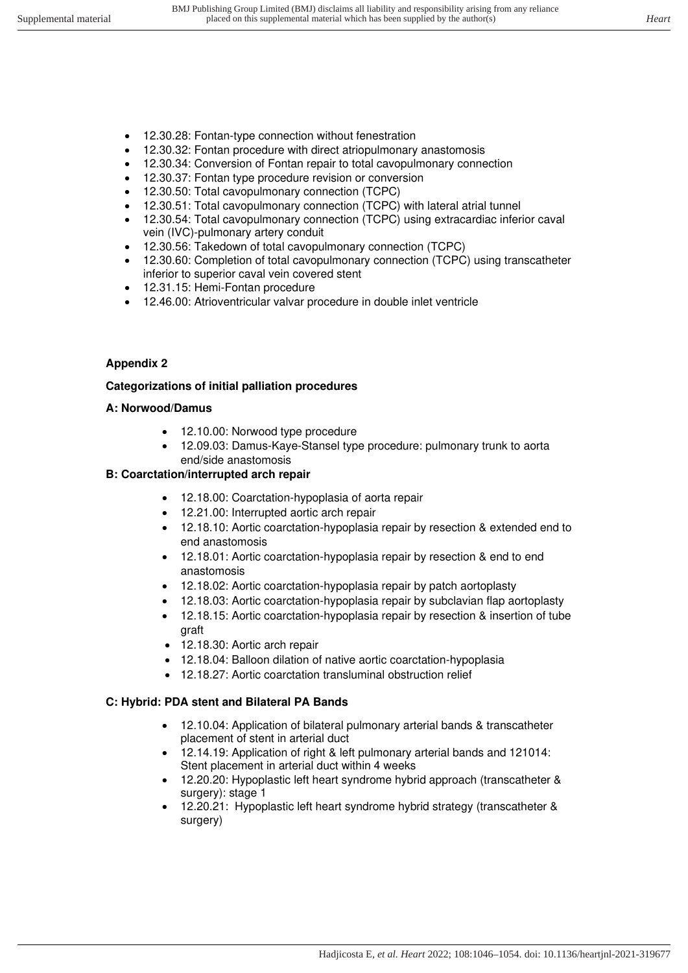- 12.30.28: Fontan-type connection without fenestration
- 12.30.32: Fontan procedure with direct atriopulmonary anastomosis
- 12.30.34: Conversion of Fontan repair to total cavopulmonary connection
- 12.30.37: Fontan type procedure revision or conversion
- 12.30.50: Total cavopulmonary connection (TCPC)
- 12.30.51: Total cavopulmonary connection (TCPC) with lateral atrial tunnel
- 12.30.54: Total cavopulmonary connection (TCPC) using extracardiac inferior caval vein (IVC)-pulmonary artery conduit
- 12.30.56: Takedown of total cavopulmonary connection (TCPC)
- 12.30.60: Completion of total cavopulmonary connection (TCPC) using transcatheter inferior to superior caval vein covered stent
- 12.31.15: Hemi-Fontan procedure
- 12.46.00: Atrioventricular valvar procedure in double inlet ventricle

#### **Appendix 2**

#### **Categorizations of initial palliation procedures**

#### **A: Norwood/Damus**

- 12.10.00: Norwood type procedure
- 12.09.03: Damus-Kaye-Stansel type procedure: pulmonary trunk to aorta end/side anastomosis

### **B: Coarctation/interrupted arch repair**

- 12.18.00: Coarctation-hypoplasia of aorta repair
- 12.21.00: Interrupted aortic arch repair
- 12.18.10: Aortic coarctation-hypoplasia repair by resection & extended end to end anastomosis
- 12.18.01: Aortic coarctation-hypoplasia repair by resection & end to end anastomosis
- 12.18.02: Aortic coarctation-hypoplasia repair by patch aortoplasty
- 12.18.03: Aortic coarctation-hypoplasia repair by subclavian flap aortoplasty
- 12.18.15: Aortic coarctation-hypoplasia repair by resection & insertion of tube graft
- 12.18.30: Aortic arch repair
- 12.18.04: Balloon dilation of native aortic coarctation-hypoplasia
- 12.18.27: Aortic coarctation transluminal obstruction relief

# **C: Hybrid: PDA stent and Bilateral PA Bands**

- 12.10.04: Application of bilateral pulmonary arterial bands & transcatheter placement of stent in arterial duct
- 12.14.19: Application of right & left pulmonary arterial bands and 121014: Stent placement in arterial duct within 4 weeks
- 12.20.20: Hypoplastic left heart syndrome hybrid approach (transcatheter & surgery): stage 1
- 12.20.21: Hypoplastic left heart syndrome hybrid strategy (transcatheter & surgery)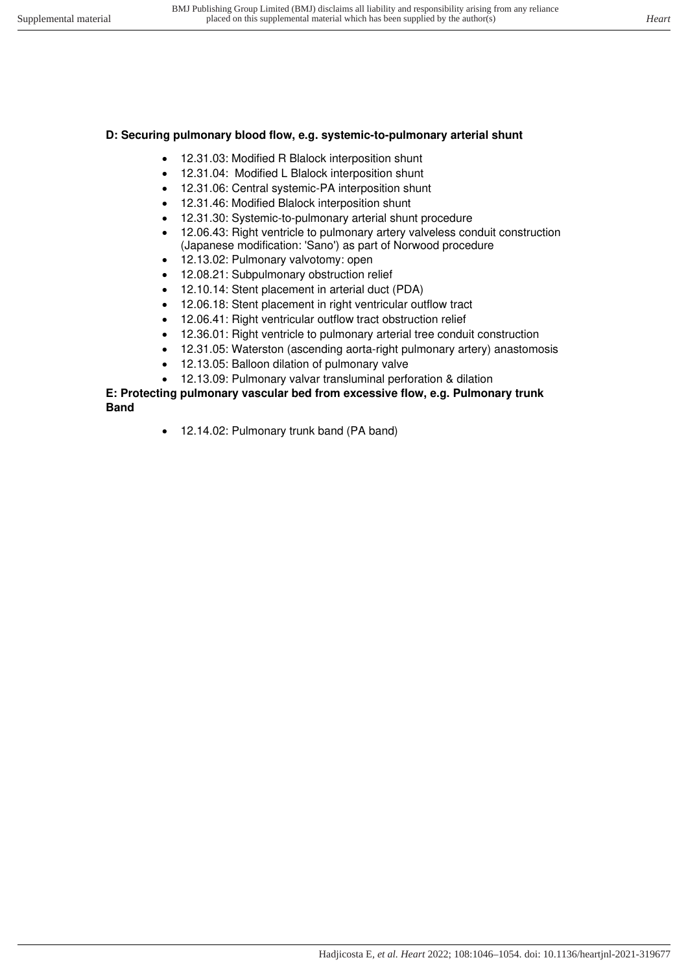# **D: Securing pulmonary blood flow, e.g. systemic-to-pulmonary arterial shunt**

- 12.31.03: Modified R Blalock interposition shunt
- 12.31.04: Modified L Blalock interposition shunt
- 12.31.06: Central systemic-PA interposition shunt
- 12.31.46: Modified Blalock interposition shunt
- 12.31.30: Systemic-to-pulmonary arterial shunt procedure
- 12.06.43: Right ventricle to pulmonary artery valveless conduit construction
- (Japanese modification: 'Sano') as part of Norwood procedure
- 12.13.02: Pulmonary valvotomy: open
- 12.08.21: Subpulmonary obstruction relief
- 12.10.14: Stent placement in arterial duct (PDA)
- 12.06.18: Stent placement in right ventricular outflow tract
- 12.06.41: Right ventricular outflow tract obstruction relief
- 12.36.01: Right ventricle to pulmonary arterial tree conduit construction
- 12.31.05: Waterston (ascending aorta-right pulmonary artery) anastomosis
- 12.13.05: Balloon dilation of pulmonary valve
- 12.13.09: Pulmonary valvar transluminal perforation & dilation

### **E: Protecting pulmonary vascular bed from excessive flow, e.g. Pulmonary trunk Band**

• 12.14.02: Pulmonary trunk band (PA band)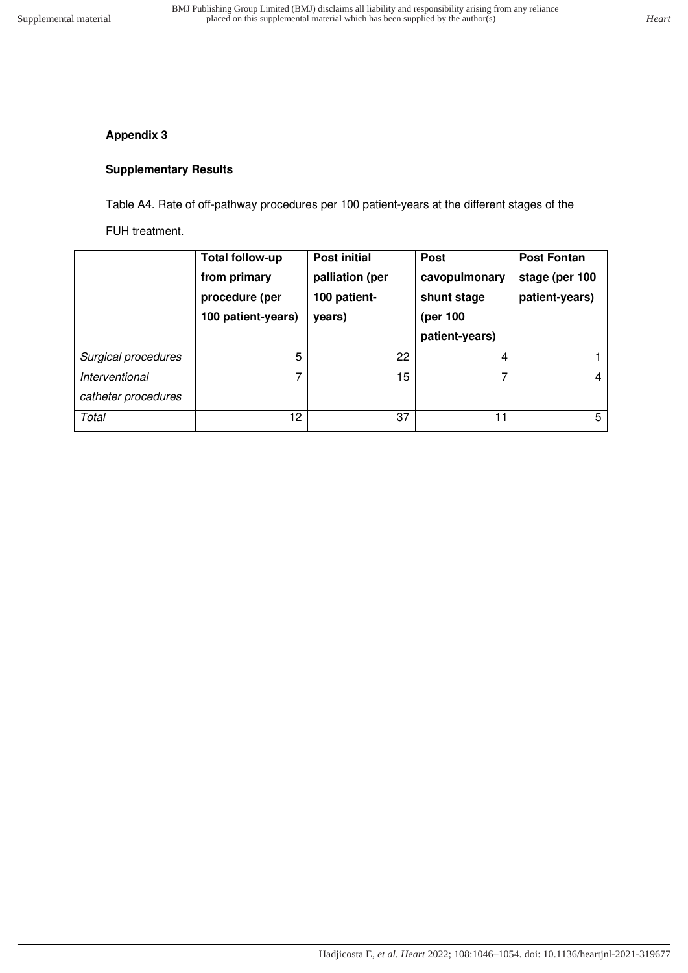# **Appendix 3**

# **Supplementary Results**

Table A4. Rate of off-pathway procedures per 100 patient-years at the different stages of the

FUH treatment.

|                                       | <b>Total follow-up</b><br>from primary<br>procedure (per<br>100 patient-years) | <b>Post initial</b><br>palliation (per<br>100 patient-<br>years) | <b>Post</b><br>cavopulmonary<br>shunt stage<br>(per 100<br>patient-years) | <b>Post Fontan</b><br>stage (per 100<br>patient-years) |
|---------------------------------------|--------------------------------------------------------------------------------|------------------------------------------------------------------|---------------------------------------------------------------------------|--------------------------------------------------------|
| Surgical procedures                   | 5                                                                              | 22                                                               | $\overline{4}$                                                            |                                                        |
| Interventional<br>catheter procedures |                                                                                | 15                                                               | 7                                                                         | 4                                                      |
| Total                                 | 12                                                                             | 37                                                               | 11                                                                        | 5                                                      |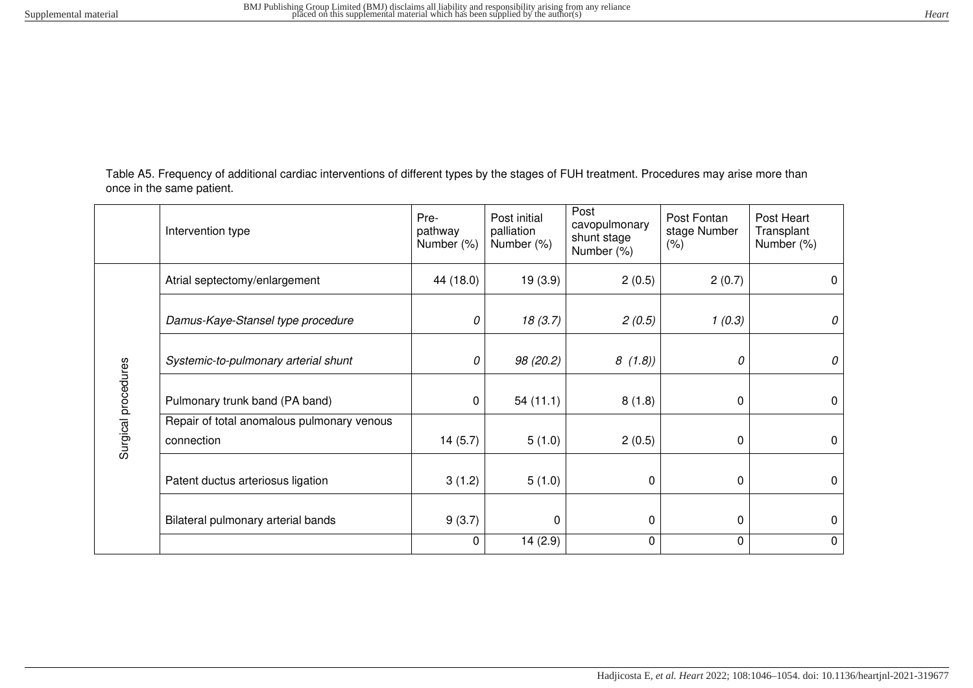Table A5. Frequency of additional cardiac interventions of different types by the stages of FUH treatment. Procedures may arise more than once in the same patient.

|                     | Intervention type                                        | Pre-<br>pathway<br>Number (%) | Post initial<br>palliation<br>Number (%) | Post<br>cavopulmonary<br>shunt stage<br>Number (%) | Post Fontan<br>stage Number<br>(% ) | Post Heart<br>Transplant<br>Number (%) |
|---------------------|----------------------------------------------------------|-------------------------------|------------------------------------------|----------------------------------------------------|-------------------------------------|----------------------------------------|
|                     | Atrial septectomy/enlargement                            | 44 (18.0)                     | 19(3.9)                                  | 2(0.5)                                             | 2(0.7)                              | 0                                      |
|                     | Damus-Kaye-Stansel type procedure                        | 0                             | 18(3.7)                                  | 2(0.5)                                             | 1(0.3)                              | 0                                      |
| Surgical procedures | Systemic-to-pulmonary arterial shunt                     | 0                             | 98 (20.2)                                | 8(1.8)                                             | 0                                   | 0                                      |
|                     | Pulmonary trunk band (PA band)                           | 0                             | 54(11.1)                                 | 8(1.8)                                             | 0                                   | $\mathbf 0$                            |
|                     | Repair of total anomalous pulmonary venous<br>connection | 14(5.7)                       | 5(1.0)                                   | 2(0.5)                                             | 0                                   | $\mathbf 0$                            |
|                     | Patent ductus arteriosus ligation                        | 3(1.2)                        | 5(1.0)                                   | $\mathbf 0$                                        | 0                                   | 0                                      |
|                     | Bilateral pulmonary arterial bands                       | 9(3.7)                        | 0                                        | $\Omega$                                           | 0                                   | $\mathbf 0$                            |
|                     |                                                          | $\mathbf 0$                   | 14(2.9)                                  | 0                                                  | $\mathbf 0$                         | 0                                      |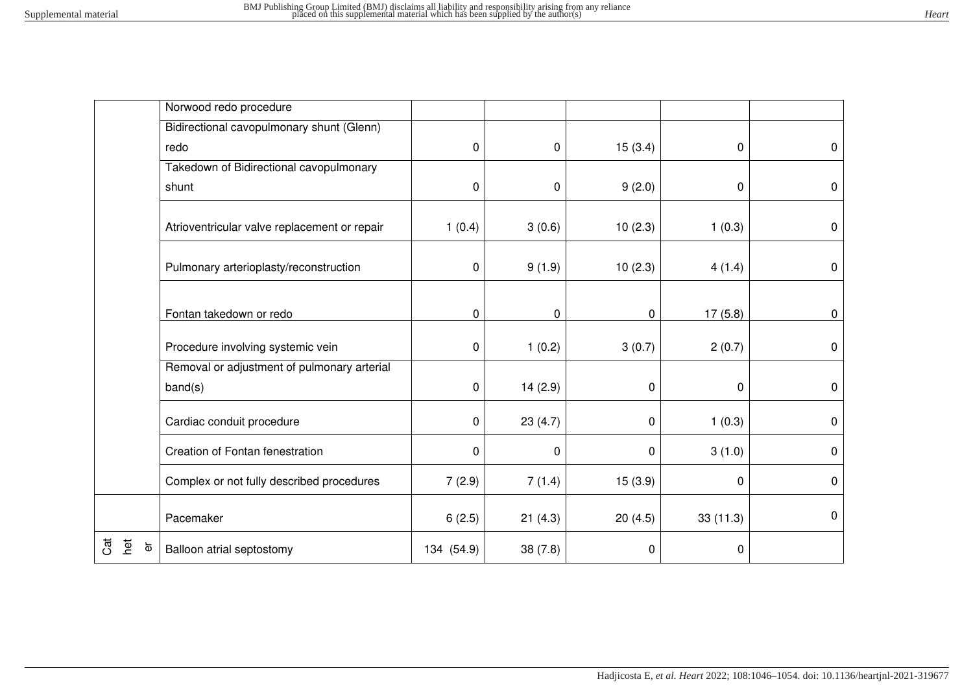|                                          | Norwood redo procedure                       |              |             |             |          |             |
|------------------------------------------|----------------------------------------------|--------------|-------------|-------------|----------|-------------|
|                                          | Bidirectional cavopulmonary shunt (Glenn)    |              |             |             |          |             |
|                                          | redo                                         | 0            | 0           | 15(3.4)     | 0        | $\mathbf 0$ |
|                                          | Takedown of Bidirectional cavopulmonary      |              |             |             |          |             |
|                                          | shunt                                        | $\mathbf 0$  | 0           | 9(2.0)      | 0        | $\mathbf 0$ |
|                                          |                                              |              |             |             |          |             |
|                                          | Atrioventricular valve replacement or repair | 1(0.4)       | 3(0.6)      | 10(2.3)     | 1(0.3)   | 0           |
|                                          |                                              |              |             |             |          |             |
|                                          | Pulmonary arterioplasty/reconstruction       | $\mathbf 0$  | 9(1.9)      | 10(2.3)     | 4(1.4)   | $\mathbf 0$ |
|                                          |                                              |              |             |             |          |             |
|                                          | Fontan takedown or redo                      | $\mathbf 0$  | $\mathbf 0$ | $\mathbf 0$ | 17(5.8)  | $\pmb{0}$   |
|                                          |                                              |              |             |             |          |             |
|                                          | Procedure involving systemic vein            | 0            | 1(0.2)      | 3(0.7)      | 2(0.7)   | $\mathbf 0$ |
|                                          | Removal or adjustment of pulmonary arterial  |              |             |             |          |             |
|                                          | band(s)                                      | 0            | 14(2.9)     | $\pmb{0}$   | 0        | $\mathbf 0$ |
|                                          | Cardiac conduit procedure                    | $\mathbf{0}$ | 23(4.7)     | 0           | 1(0.3)   | $\mathbf 0$ |
|                                          | Creation of Fontan fenestration              | $\mathbf 0$  | 0           | $\mathbf 0$ | 3(1.0)   | $\mathbf 0$ |
|                                          | Complex or not fully described procedures    | 7(2.9)       | 7(1.4)      | 15(3.9)     | 0        | $\mathbf 0$ |
|                                          | Pacemaker                                    | 6(2.5)       | 21(4.3)     | 20(4.5)     | 33(11.3) | $\mathbf 0$ |
| ්<br>het<br>$\overleftarrow{\mathbf{0}}$ | Balloon atrial septostomy                    | 134 (54.9)   | 38(7.8)     | $\pmb{0}$   | 0        |             |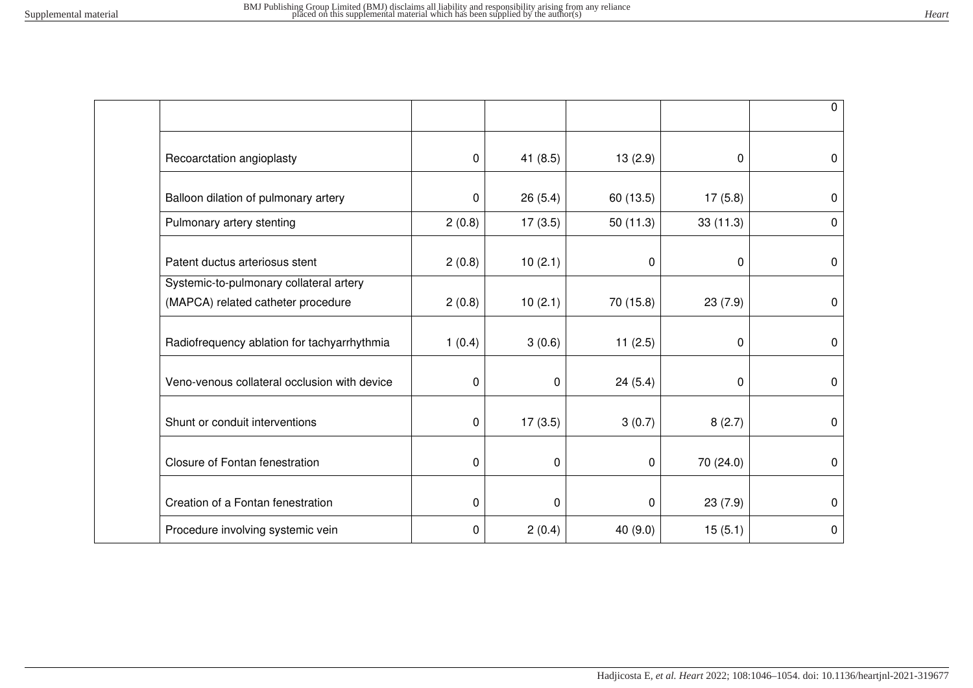|                                              |                  |             |           |           | $\mathbf 0$      |
|----------------------------------------------|------------------|-------------|-----------|-----------|------------------|
| Recoarctation angioplasty                    | $\boldsymbol{0}$ | 41(8.5)     | 13(2.9)   | 0         | 0                |
| Balloon dilation of pulmonary artery         | $\mathbf 0$      | 26(5.4)     | 60 (13.5) | 17(5.8)   | 0                |
| Pulmonary artery stenting                    | 2(0.8)           | 17(3.5)     | 50(11.3)  | 33(11.3)  | 0                |
| Patent ductus arteriosus stent               | 2(0.8)           | 10(2.1)     | 0         | $\pmb{0}$ | $\mathbf 0$      |
| Systemic-to-pulmonary collateral artery      |                  |             |           |           |                  |
| (MAPCA) related catheter procedure           | 2(0.8)           | 10(2.1)     | 70 (15.8) | 23(7.9)   | $\mathbf 0$      |
| Radiofrequency ablation for tachyarrhythmia  | 1(0.4)           | 3(0.6)      | 11(2.5)   | 0         | $\mathbf 0$      |
| Veno-venous collateral occlusion with device | 0                | $\mathbf 0$ | 24(5.4)   | 0         | 0                |
| Shunt or conduit interventions               | $\pmb{0}$        | 17(3.5)     | 3(0.7)    | 8(2.7)    | $\boldsymbol{0}$ |
| Closure of Fontan fenestration               | $\mathbf 0$      | 0           | 0         | 70 (24.0) | 0                |
| Creation of a Fontan fenestration            | $\mathbf 0$      | 0           | 0         | 23(7.9)   | 0                |
| Procedure involving systemic vein            | 0                | 2(0.4)      | 40 (9.0)  | 15(5.1)   | $\boldsymbol{0}$ |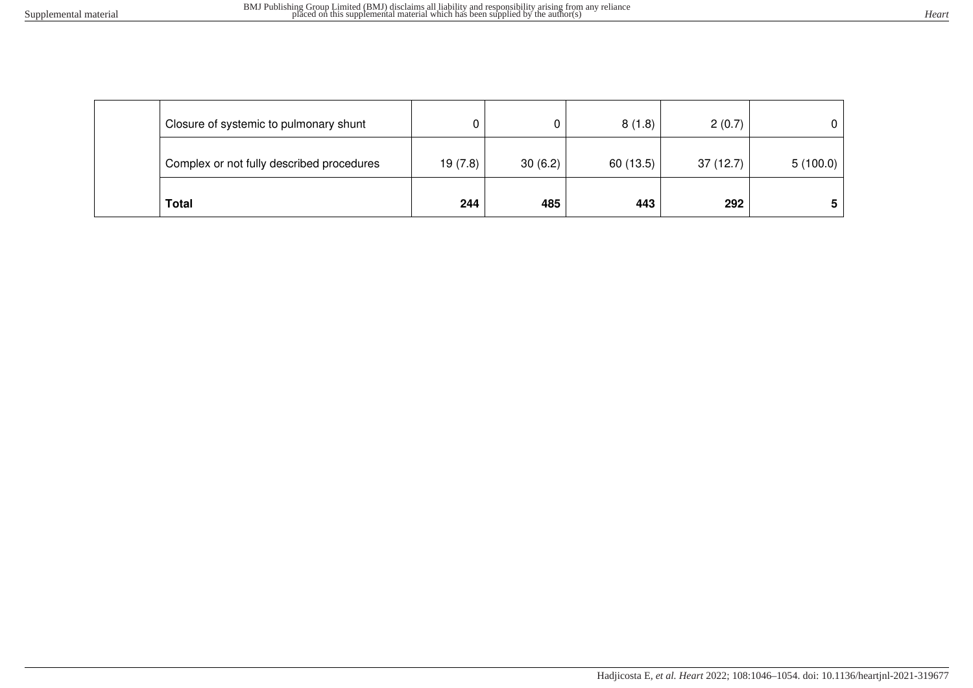| Total                                     | 244     | 485     | 443       | 292       |          |
|-------------------------------------------|---------|---------|-----------|-----------|----------|
| Complex or not fully described procedures | 19(7.8) | 30(6.2) | 60 (13.5) | 37 (12.7) | 5(100.0) |
| Closure of systemic to pulmonary shunt    | 0       |         | 8(1.8)    | 2(0.7)    |          |